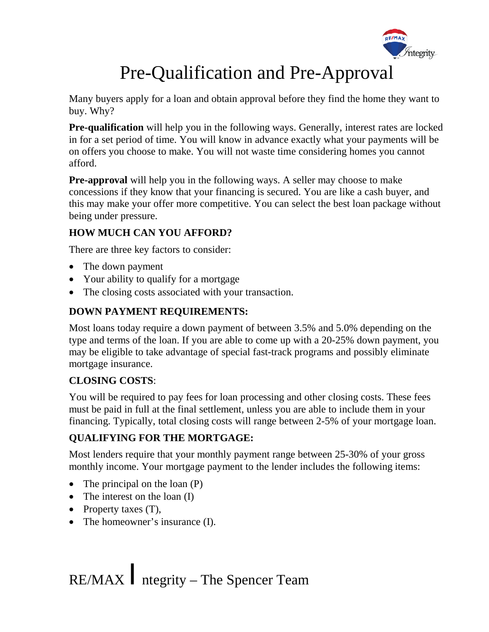

# Pre-Qualification and Pre-Approval

Many buyers apply for a loan and obtain approval before they find the home they want to buy. Why?

**Pre-qualification** will help you in the following ways. Generally, interest rates are locked in for a set period of time. You will know in advance exactly what your payments will be on offers you choose to make. You will not waste time considering homes you cannot afford.

**Pre-approval** will help you in the following ways. A seller may choose to make concessions if they know that your financing is secured. You are like a cash buyer, and this may make your offer more competitive. You can select the best loan package without being under pressure.

## **HOW MUCH CAN YOU AFFORD?**

There are three key factors to consider:

- The down payment
- Your ability to qualify for a mortgage
- The closing costs associated with your transaction.

#### **DOWN PAYMENT REQUIREMENTS:**

Most loans today require a down payment of between 3.5% and 5.0% depending on the type and terms of the loan. If you are able to come up with a 20-25% down payment, you may be eligible to take advantage of special fast-track programs and possibly eliminate mortgage insurance.

### **CLOSING COSTS**:

You will be required to pay fees for loan processing and other closing costs. These fees must be paid in full at the final settlement, unless you are able to include them in your financing. Typically, total closing costs will range between 2-5% of your mortgage loan.

## **QUALIFYING FOR THE MORTGAGE:**

Most lenders require that your monthly payment range between 25-30% of your gross monthly income. Your mortgage payment to the lender includes the following items:

- The principal on the loan (P)
- The interest on the loan (I)
- Property taxes (T),
- The homeowner's insurance (I).